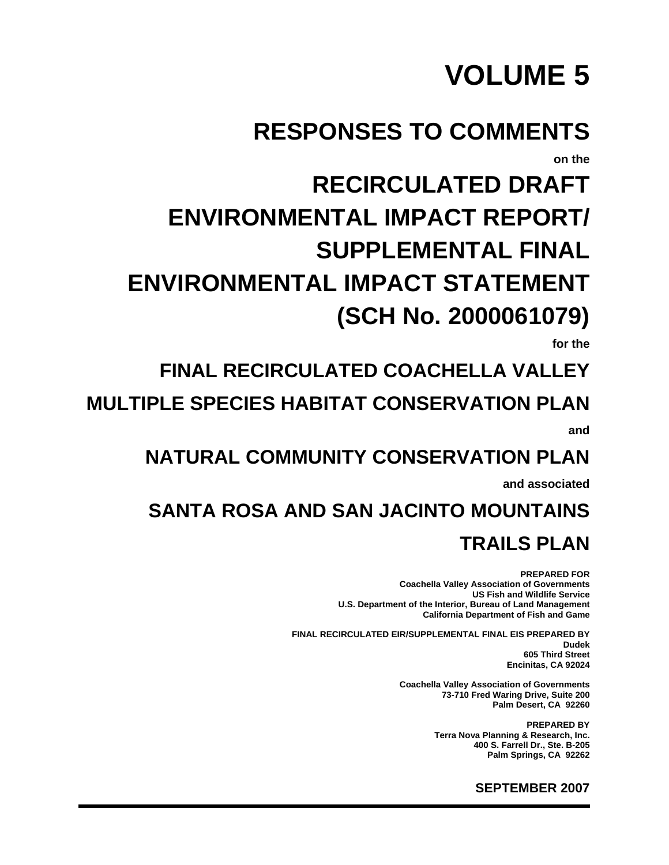# **VOLUME 5**

## **RESPONSES TO COMMENTS**

**on the** 

# **RECIRCULATED DRAFT ENVIRONMENTAL IMPACT REPORT/ SUPPLEMENTAL FINAL ENVIRONMENTAL IMPACT STATEMENT (SCH No. 2000061079)**

**for the** 

### **FINAL RECIRCULATED COACHELLA VALLEY**

**MULTIPLE SPECIES HABITAT CONSERVATION PLAN and** 

**NATURAL COMMUNITY CONSERVATION PLAN** 

**and associated** 

## **SANTA ROSA AND SAN JACINTO MOUNTAINS TRAILS PLAN**

**PREPARED FOR Coachella Valley Association of Governments US Fish and Wildlife Service U.S. Department of the Interior, Bureau of Land Management California Department of Fish and Game** 

**FINAL RECIRCULATED EIR/SUPPLEMENTAL FINAL EIS PREPARED BY Dudek 605 Third Street Encinitas, CA 92024** 

> **Coachella Valley Association of Governments 73-710 Fred Waring Drive, Suite 200 Palm Desert, CA 92260**

> > **PREPARED BY Terra Nova Planning & Research, Inc. 400 S. Farrell Dr., Ste. B-205 Palm Springs, CA 92262**

> > > **SEPTEMBER 2007**